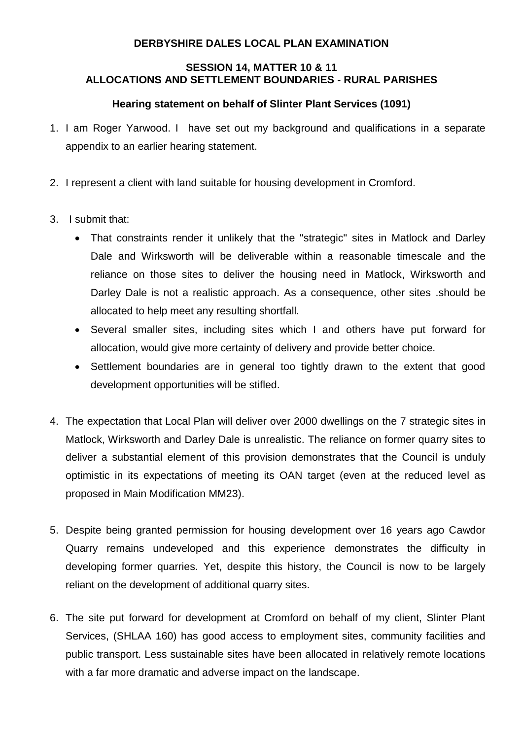## **DERBYSHIRE DALES LOCAL PLAN EXAMINATION**

## **SESSION 14, MATTER 10 & 11 ALLOCATIONS AND SETTLEMENT BOUNDARIES - RURAL PARISHES**

## **Hearing statement on behalf of Slinter Plant Services (1091)**

- 1. I am Roger Yarwood. I have set out my background and qualifications in a separate appendix to an earlier hearing statement.
- 2. I represent a client with land suitable for housing development in Cromford.
- 3. I submit that:
	- That constraints render it unlikely that the "strategic" sites in Matlock and Darley Dale and Wirksworth will be deliverable within a reasonable timescale and the reliance on those sites to deliver the housing need in Matlock, Wirksworth and Darley Dale is not a realistic approach. As a consequence, other sites .should be allocated to help meet any resulting shortfall.
	- Several smaller sites, including sites which I and others have put forward for allocation, would give more certainty of delivery and provide better choice.
	- Settlement boundaries are in general too tightly drawn to the extent that good development opportunities will be stifled.
- 4. The expectation that Local Plan will deliver over 2000 dwellings on the 7 strategic sites in Matlock, Wirksworth and Darley Dale is unrealistic. The reliance on former quarry sites to deliver a substantial element of this provision demonstrates that the Council is unduly optimistic in its expectations of meeting its OAN target (even at the reduced level as proposed in Main Modification MM23).
- 5. Despite being granted permission for housing development over 16 years ago Cawdor Quarry remains undeveloped and this experience demonstrates the difficulty in developing former quarries. Yet, despite this history, the Council is now to be largely reliant on the development of additional quarry sites.
- 6. The site put forward for development at Cromford on behalf of my client, Slinter Plant Services, (SHLAA 160) has good access to employment sites, community facilities and public transport. Less sustainable sites have been allocated in relatively remote locations with a far more dramatic and adverse impact on the landscape.